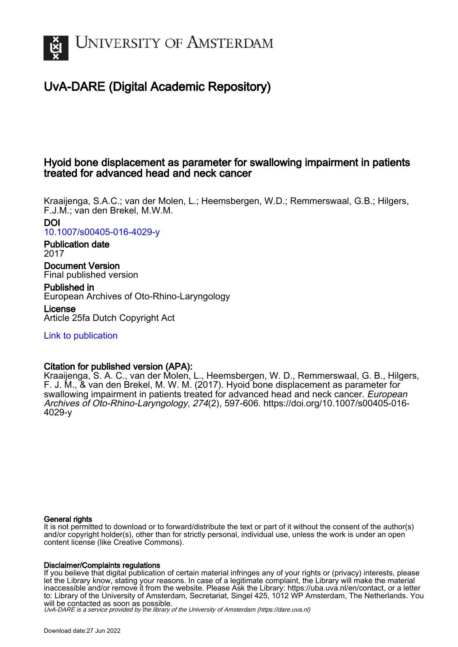

# UvA-DARE (Digital Academic Repository)

# Hyoid bone displacement as parameter for swallowing impairment in patients treated for advanced head and neck cancer

Kraaijenga, S.A.C.; van der Molen, L.; Heemsbergen, W.D.; Remmerswaal, G.B.; Hilgers, F.J.M.; van den Brekel, M.W.M. DOI

[10.1007/s00405-016-4029-y](https://doi.org/10.1007/s00405-016-4029-y)

Publication date 2017

Document Version Final published version

Published in European Archives of Oto-Rhino-Laryngology License

Article 25fa Dutch Copyright Act

[Link to publication](https://dare.uva.nl/personal/pure/en/publications/hyoid-bone-displacement-as-parameter-for-swallowing-impairment-in-patients-treated-for-advanced-head-and-neck-cancer(e4028195-1f6e-4fc2-8f82-61c09638261a).html)

## Citation for published version (APA):

Kraaijenga, S. A. C., van der Molen, L., Heemsbergen, W. D., Remmerswaal, G. B., Hilgers, F. J. M., & van den Brekel, M. W. M. (2017). Hyoid bone displacement as parameter for swallowing impairment in patients treated for advanced head and neck cancer. European Archives of Oto-Rhino-Laryngology, 274(2), 597-606. [https://doi.org/10.1007/s00405-016-](https://doi.org/10.1007/s00405-016-4029-y) [4029-y](https://doi.org/10.1007/s00405-016-4029-y)

## General rights

It is not permitted to download or to forward/distribute the text or part of it without the consent of the author(s) and/or copyright holder(s), other than for strictly personal, individual use, unless the work is under an open content license (like Creative Commons).

## Disclaimer/Complaints regulations

If you believe that digital publication of certain material infringes any of your rights or (privacy) interests, please let the Library know, stating your reasons. In case of a legitimate complaint, the Library will make the material inaccessible and/or remove it from the website. Please Ask the Library: https://uba.uva.nl/en/contact, or a letter to: Library of the University of Amsterdam, Secretariat, Singel 425, 1012 WP Amsterdam, The Netherlands. You will be contacted as soon as possible.

UvA-DARE is a service provided by the library of the University of Amsterdam (http*s*://dare.uva.nl)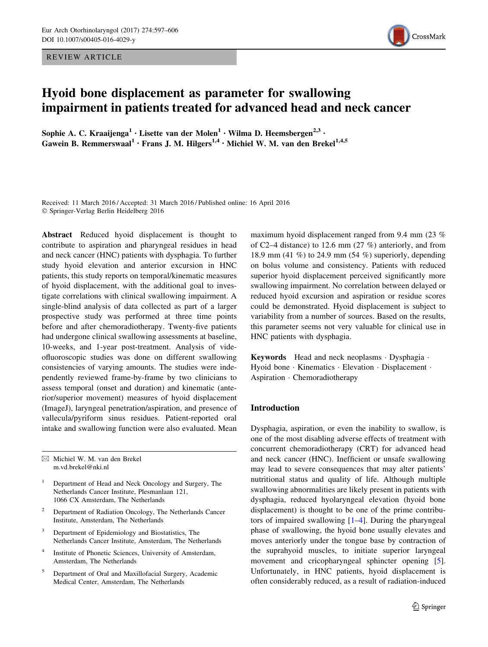REVIEW ARTICLE



# Hyoid bone displacement as parameter for swallowing impairment in patients treated for advanced head and neck cancer

Sophie A. C. Kraaijenga<sup>1</sup> · Lisette van der Molen<sup>1</sup> · Wilma D. Heemsbergen<sup>2,3</sup> · Gawein B. Remmerswaal<sup>1</sup> · Frans J. M. Hilgers<sup>1,4</sup> · Michiel W. M. van den Brekel<sup>1,4,5</sup>

Received: 11 March 2016 / Accepted: 31 March 2016 / Published online: 16 April 2016 - Springer-Verlag Berlin Heidelberg 2016

Abstract Reduced hyoid displacement is thought to contribute to aspiration and pharyngeal residues in head and neck cancer (HNC) patients with dysphagia. To further study hyoid elevation and anterior excursion in HNC patients, this study reports on temporal/kinematic measures of hyoid displacement, with the additional goal to investigate correlations with clinical swallowing impairment. A single-blind analysis of data collected as part of a larger prospective study was performed at three time points before and after chemoradiotherapy. Twenty-five patients had undergone clinical swallowing assessments at baseline, 10-weeks, and 1-year post-treatment. Analysis of videofluoroscopic studies was done on different swallowing consistencies of varying amounts. The studies were independently reviewed frame-by-frame by two clinicians to assess temporal (onset and duration) and kinematic (anterior/superior movement) measures of hyoid displacement (ImageJ), laryngeal penetration/aspiration, and presence of vallecula/pyriform sinus residues. Patient-reported oral intake and swallowing function were also evaluated. Mean

 $\boxtimes$  Michiel W. M. van den Brekel m.vd.brekel@nki.nl

<sup>1</sup> Department of Head and Neck Oncology and Surgery, The Netherlands Cancer Institute, Plesmanlaan 121, 1066 CX Amsterdam, The Netherlands

- <sup>2</sup> Department of Radiation Oncology, The Netherlands Cancer Institute, Amsterdam, The Netherlands
- <sup>3</sup> Department of Epidemiology and Biostatistics, The Netherlands Cancer Institute, Amsterdam, The Netherlands
- <sup>4</sup> Institute of Phonetic Sciences, University of Amsterdam, Amsterdam, The Netherlands
- <sup>5</sup> Department of Oral and Maxillofacial Surgery, Academic Medical Center, Amsterdam, The Netherlands

maximum hyoid displacement ranged from 9.4 mm (23 % of C2–4 distance) to 12.6 mm (27 %) anteriorly, and from 18.9 mm (41 %) to 24.9 mm (54 %) superiorly, depending on bolus volume and consistency. Patients with reduced superior hyoid displacement perceived significantly more swallowing impairment. No correlation between delayed or reduced hyoid excursion and aspiration or residue scores could be demonstrated. Hyoid displacement is subject to variability from a number of sources. Based on the results, this parameter seems not very valuable for clinical use in HNC patients with dysphagia.

Keywords Head and neck neoplasms - Dysphagia - Hyoid bone · Kinematics · Elevation · Displacement · Aspiration - Chemoradiotherapy

## Introduction

Dysphagia, aspiration, or even the inability to swallow, is one of the most disabling adverse effects of treatment with concurrent chemoradiotherapy (CRT) for advanced head and neck cancer (HNC). Inefficient or unsafe swallowing may lead to severe consequences that may alter patients' nutritional status and quality of life. Although multiple swallowing abnormalities are likely present in patients with dysphagia, reduced hyolaryngeal elevation (hyoid bone displacement) is thought to be one of the prime contributors of impaired swallowing [\[1–4](#page-10-0)]. During the pharyngeal phase of swallowing, the hyoid bone usually elevates and moves anteriorly under the tongue base by contraction of the suprahyoid muscles, to initiate superior laryngeal movement and cricopharyngeal sphincter opening [\[5](#page-10-0)]. Unfortunately, in HNC patients, hyoid displacement is often considerably reduced, as a result of radiation-induced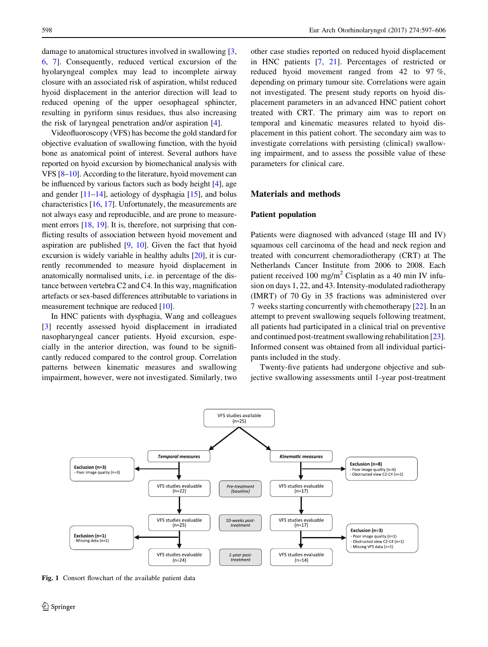<span id="page-2-0"></span>damage to anatomical structures involved in swallowing [[3,](#page-10-0) [6](#page-10-0), [7](#page-10-0)]. Consequently, reduced vertical excursion of the hyolaryngeal complex may lead to incomplete airway closure with an associated risk of aspiration, whilst reduced hyoid displacement in the anterior direction will lead to reduced opening of the upper oesophageal sphincter, resulting in pyriform sinus residues, thus also increasing the risk of laryngeal penetration and/or aspiration [[4\]](#page-10-0).

Videofluoroscopy (VFS) has become the gold standard for objective evaluation of swallowing function, with the hyoid bone as anatomical point of interest. Several authors have reported on hyoid excursion by biomechanical analysis with VFS  $[8-10]$ . According to the literature, hyoid movement can be influenced by various factors such as body height [\[4](#page-10-0)], age and gender  $[11-14]$ , aetiology of dysphagia  $[15]$  $[15]$ , and bolus characteristics [\[16](#page-10-0), [17\]](#page-10-0). Unfortunately, the measurements are not always easy and reproducible, and are prone to measure-ment errors [\[18](#page-10-0), [19](#page-10-0)]. It is, therefore, not surprising that conflicting results of association between hyoid movement and aspiration are published [[9,](#page-10-0) [10\]](#page-10-0). Given the fact that hyoid excursion is widely variable in healthy adults [\[20](#page-10-0)], it is currently recommended to measure hyoid displacement in anatomically normalised units, i.e. in percentage of the distance between vertebra C2 and C4. In this way, magnification artefacts or sex-based differences attributable to variations in measurement technique are reduced [[10](#page-10-0)].

In HNC patients with dysphagia, Wang and colleagues [\[3](#page-10-0)] recently assessed hyoid displacement in irradiated nasopharyngeal cancer patients. Hyoid excursion, especially in the anterior direction, was found to be significantly reduced compared to the control group. Correlation patterns between kinematic measures and swallowing impairment, however, were not investigated. Similarly, two

other case studies reported on reduced hyoid displacement in HNC patients [\[7](#page-10-0), [21\]](#page-10-0). Percentages of restricted or reduced hyoid movement ranged from 42 to 97 %, depending on primary tumour site. Correlations were again not investigated. The present study reports on hyoid displacement parameters in an advanced HNC patient cohort treated with CRT. The primary aim was to report on temporal and kinematic measures related to hyoid displacement in this patient cohort. The secondary aim was to investigate correlations with persisting (clinical) swallowing impairment, and to assess the possible value of these parameters for clinical care.

## Materials and methods

## Patient population

Patients were diagnosed with advanced (stage III and IV) squamous cell carcinoma of the head and neck region and treated with concurrent chemoradiotherapy (CRT) at The Netherlands Cancer Institute from 2006 to 2008. Each patient received 100 mg/m<sup>2</sup> Cisplatin as a 40 min IV infusion on days 1, 22, and 43. Intensity-modulated radiotherapy (IMRT) of 70 Gy in 35 fractions was administered over 7 weeks starting concurrently with chemotherapy [\[22](#page-10-0)]. In an attempt to prevent swallowing sequels following treatment, all patients had participated in a clinical trial on preventive and continued post-treatment swallowing rehabilitation [\[23](#page-10-0)]. Informed consent was obtained from all individual participants included in the study.

Twenty-five patients had undergone objective and subjective swallowing assessments until 1-year post-treatment



Fig. 1 Consort flowchart of the available patient data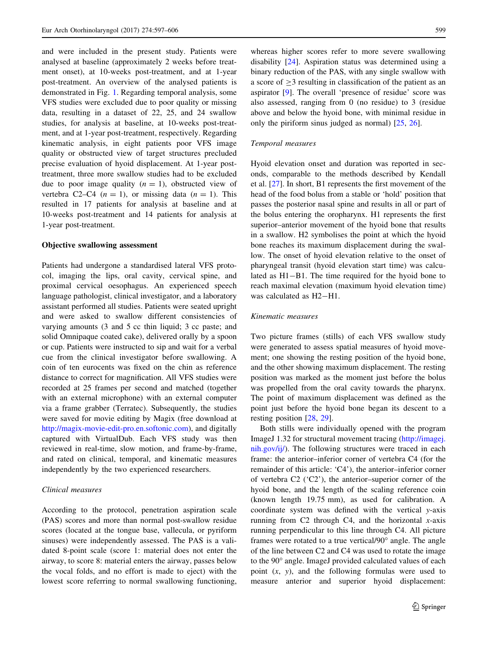and were included in the present study. Patients were analysed at baseline (approximately 2 weeks before treatment onset), at 10-weeks post-treatment, and at 1-year post-treatment. An overview of the analysed patients is demonstrated in Fig. [1](#page-2-0). Regarding temporal analysis, some VFS studies were excluded due to poor quality or missing data, resulting in a dataset of 22, 25, and 24 swallow studies, for analysis at baseline, at 10-weeks post-treatment, and at 1-year post-treatment, respectively. Regarding kinematic analysis, in eight patients poor VFS image quality or obstructed view of target structures precluded precise evaluation of hyoid displacement. At 1-year posttreatment, three more swallow studies had to be excluded due to poor image quality  $(n = 1)$ , obstructed view of vertebra C2–C4 ( $n = 1$ ), or missing data ( $n = 1$ ). This resulted in 17 patients for analysis at baseline and at 10-weeks post-treatment and 14 patients for analysis at 1-year post-treatment.

#### Objective swallowing assessment

Patients had undergone a standardised lateral VFS protocol, imaging the lips, oral cavity, cervical spine, and proximal cervical oesophagus. An experienced speech language pathologist, clinical investigator, and a laboratory assistant performed all studies. Patients were seated upright and were asked to swallow different consistencies of varying amounts (3 and 5 cc thin liquid; 3 cc paste; and solid Omnipaque coated cake), delivered orally by a spoon or cup. Patients were instructed to sip and wait for a verbal cue from the clinical investigator before swallowing. A coin of ten eurocents was fixed on the chin as reference distance to correct for magnification. All VFS studies were recorded at 25 frames per second and matched (together with an external microphone) with an external computer via a frame grabber (Terratec). Subsequently, the studies were saved for movie editing by Magix (free download at [http://magix-movie-edit-pro.en.softonic.com\)](http://magix-movie-edit-pro.en.softonic.com), and digitally captured with VirtualDub. Each VFS study was then reviewed in real-time, slow motion, and frame-by-frame, and rated on clinical, temporal, and kinematic measures independently by the two experienced researchers.

## Clinical measures

According to the protocol, penetration aspiration scale (PAS) scores and more than normal post-swallow residue scores (located at the tongue base, vallecula, or pyriform sinuses) were independently assessed. The PAS is a validated 8-point scale (score 1: material does not enter the airway, to score 8: material enters the airway, passes below the vocal folds, and no effort is made to eject) with the lowest score referring to normal swallowing functioning,

whereas higher scores refer to more severe swallowing disability [\[24](#page-10-0)]. Aspiration status was determined using a binary reduction of the PAS, with any single swallow with a score of  $>3$  resulting in classification of the patient as an aspirator [\[9](#page-10-0)]. The overall 'presence of residue' score was also assessed, ranging from 0 (no residue) to 3 (residue above and below the hyoid bone, with minimal residue in only the piriform sinus judged as normal) [[25,](#page-10-0) [26\]](#page-10-0).

#### Temporal measures

Hyoid elevation onset and duration was reported in seconds, comparable to the methods described by Kendall et al. [[27\]](#page-10-0). In short, B1 represents the first movement of the head of the food bolus from a stable or 'hold' position that passes the posterior nasal spine and results in all or part of the bolus entering the oropharynx. H1 represents the first superior–anterior movement of the hyoid bone that results in a swallow. H2 symbolises the point at which the hyoid bone reaches its maximum displacement during the swallow. The onset of hyoid elevation relative to the onset of pharyngeal transit (hyoid elevation start time) was calculated as H1-B1. The time required for the hyoid bone to reach maximal elevation (maximum hyoid elevation time) was calculated as H2-H1.

#### Kinematic measures

Two picture frames (stills) of each VFS swallow study were generated to assess spatial measures of hyoid movement; one showing the resting position of the hyoid bone, and the other showing maximum displacement. The resting position was marked as the moment just before the bolus was propelled from the oral cavity towards the pharynx. The point of maximum displacement was defined as the point just before the hyoid bone began its descent to a resting position [[28,](#page-10-0) [29](#page-10-0)].

Both stills were individually opened with the program ImageJ 1.32 for structural movement tracing [\(http://imagej.](http://imagej.nih.gov/ij/) [nih.gov/ij/\)](http://imagej.nih.gov/ij/). The following structures were traced in each frame: the anterior–inferior corner of vertebra C4 (for the remainder of this article: 'C4'), the anterior–inferior corner of vertebra C2 ('C2'), the anterior–superior corner of the hyoid bone, and the length of the scaling reference coin (known length 19.75 mm), as used for calibration. A coordinate system was defined with the vertical y-axis running from C2 through C4, and the horizontal  $x$ -axis running perpendicular to this line through C4. All picture frames were rotated to a true vertical/ $90^\circ$  angle. The angle of the line between C2 and C4 was used to rotate the image to the 90° angle. ImageJ provided calculated values of each point  $(x, y)$ , and the following formulas were used to measure anterior and superior hyoid displacement: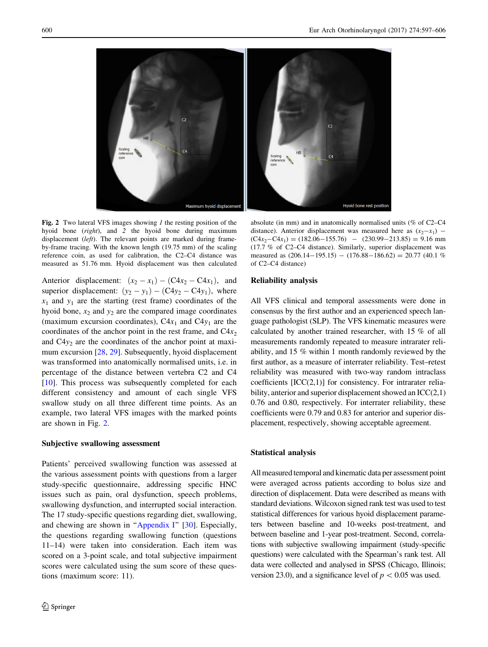

Fig. 2 Two lateral VFS images showing  $I$  the resting position of the hyoid bone (right), and 2 the hyoid bone during maximum displacement (left). The relevant points are marked during frameby-frame tracing. With the known length (19.75 mm) of the scaling reference coin, as used for calibration, the C2–C4 distance was measured as 51.76 mm. Hyoid displacement was then calculated

Anterior displacement:  $(x_2 - x_1) - (C4x_2 - C4x_1)$ , and superior displacement:  $(y_2 - y_1) - (C4y_2 - C4y_1)$ , where  $x_1$  and  $y_1$  are the starting (rest frame) coordinates of the hyoid bone,  $x_2$  and  $y_2$  are the compared image coordinates (maximum excursion coordinates),  $C4x_1$  and  $C4y_1$  are the coordinates of the anchor point in the rest frame, and  $C4x<sub>2</sub>$ and  $C4y_2$  are the coordinates of the anchor point at maximum excursion [[28,](#page-10-0) [29\]](#page-10-0). Subsequently, hyoid displacement was transformed into anatomically normalised units, i.e. in percentage of the distance between vertebra C2 and C4 [\[10](#page-10-0)]. This process was subsequently completed for each different consistency and amount of each single VFS swallow study on all three different time points. As an example, two lateral VFS images with the marked points are shown in Fig. 2.

#### Subjective swallowing assessment

Patients' perceived swallowing function was assessed at the various assessment points with questions from a larger study-specific questionnaire, addressing specific HNC issues such as pain, oral dysfunction, speech problems, swallowing dysfunction, and interrupted social interaction. The 17 study-specific questions regarding diet, swallowing, and chewing are shown in "Appendix I" [[30\]](#page-10-0). Especially, the questions regarding swallowing function (questions 11–14) were taken into consideration. Each item was scored on a 3-point scale, and total subjective impairment scores were calculated using the sum score of these questions (maximum score: 11).



## Reliability analysis

All VFS clinical and temporal assessments were done in consensus by the first author and an experienced speech language pathologist (SLP). The VFS kinematic measures were calculated by another trained researcher, with 15 % of all measurements randomly repeated to measure intrarater reliability, and 15 % within 1 month randomly reviewed by the first author, as a measure of interrater reliability. Test–retest reliability was measured with two-way random intraclass coefficients  $[ICC(2,1)]$  for consistency. For intrarater reliability, anterior and superior displacement showed an ICC(2,1) 0.76 and 0.80, respectively. For interrater reliability, these coefficients were 0.79 and 0.83 for anterior and superior displacement, respectively, showing acceptable agreement.

#### Statistical analysis

All measured temporal and kinematic data per assessment point were averaged across patients according to bolus size and direction of displacement. Data were described as means with standard deviations. Wilcoxon signed rank test was used to test statistical differences for various hyoid displacement parameters between baseline and 10-weeks post-treatment, and between baseline and 1-year post-treatment. Second, correlations with subjective swallowing impairment (study-specific questions) were calculated with the Spearman's rank test. All data were collected and analysed in SPSS (Chicago, Illinois; version 23.0), and a significance level of  $p < 0.05$  was used.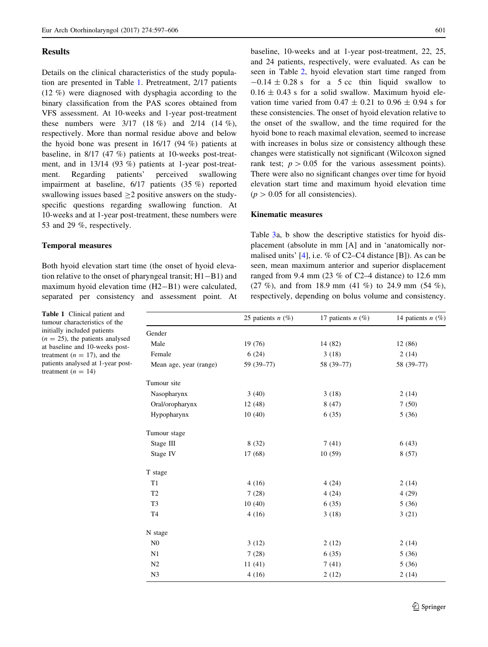## **Results**

Details on the clinical characteristics of the study population are presented in Table 1. Pretreatment, 2/17 patients (12 %) were diagnosed with dysphagia according to the binary classification from the PAS scores obtained from VFS assessment. At 10-weeks and 1-year post-treatment these numbers were 3/17 (18 %) and 2/14 (14 %), respectively. More than normal residue above and below the hyoid bone was present in 16/17 (94 %) patients at baseline, in 8/17 (47 %) patients at 10-weeks post-treatment, and in 13/14 (93 %) patients at 1-year post-treatment. Regarding patients' perceived swallowing impairment at baseline, 6/17 patients (35 %) reported swallowing issues based  $\geq$  2 positive answers on the studyspecific questions regarding swallowing function. At 10-weeks and at 1-year post-treatment, these numbers were 53 and 29 %, respectively.

## Temporal measures

Both hyoid elevation start time (the onset of hyoid elevation relative to the onset of pharyngeal transit;  $H1-B1$ ) and maximum hyoid elevation time (H2-B1) were calculated, separated per consistency and assessment point. At

Table 1 Clinical patient and tumour characteristics of the initially included patients  $(n = 25)$ , the patients analysed at baseline and 10-weeks posttreatment ( $n = 17$ ), and the patients analysed at 1-year posttreatment  $(n = 14)$ 

baseline, 10-weeks and at 1-year post-treatment, 22, 25, and 24 patients, respectively, were evaluated. As can be seen in Table [2](#page-6-0), hyoid elevation start time ranged from  $-0.14 \pm 0.28$  s for a 5 cc thin liquid swallow to  $0.16 \pm 0.43$  s for a solid swallow. Maximum hyoid elevation time varied from  $0.47 \pm 0.21$  to  $0.96 \pm 0.94$  s for these consistencies. The onset of hyoid elevation relative to the onset of the swallow, and the time required for the hyoid bone to reach maximal elevation, seemed to increase with increases in bolus size or consistency although these changes were statistically not significant (Wilcoxon signed rank test;  $p > 0.05$  for the various assessment points). There were also no significant changes over time for hyoid elevation start time and maximum hyoid elevation time  $(p > 0.05$  for all consistencies).

## Kinematic measures

Table [3](#page-7-0)a, b show the descriptive statistics for hyoid displacement (absolute in mm [A] and in 'anatomically normalised units' [\[4](#page-10-0)], i.e. % of C2–C4 distance [B]). As can be seen, mean maximum anterior and superior displacement ranged from 9.4 mm (23 % of C2–4 distance) to 12.6 mm (27 %), and from 18.9 mm (41 %) to 24.9 mm (54 %), respectively, depending on bolus volume and consistency.

|                        | 25 patients $n$ (%) | 17 patients $n$ (%) | 14 patients $n$ (%) |  |
|------------------------|---------------------|---------------------|---------------------|--|
| Gender                 |                     |                     |                     |  |
| Male                   | 19 (76)             | 14 (82)             | 12 (86)             |  |
| Female                 | 6(24)               | 3(18)               | 2(14)               |  |
| Mean age, year (range) | 59 (39-77)          | 58 (39-77)          | 58 (39-77)          |  |
| Tumour site            |                     |                     |                     |  |
| Nasopharynx            | 3(40)               | 3(18)               | 2(14)               |  |
| Oral/oropharynx        | 12(48)              | 8(47)               | 7(50)               |  |
| Hypopharynx            | 10(40)              | 6(35)               | 5(36)               |  |
| Tumour stage           |                     |                     |                     |  |
| Stage III              | 8(32)               | 7(41)               | 6(43)               |  |
| Stage IV               | 17(68)              | 10(59)              | 8(57)               |  |
| T stage                |                     |                     |                     |  |
| T1                     | 4(16)               | 4(24)               | 2(14)               |  |
| T <sub>2</sub>         | 7(28)               | 4(24)               | 4(29)               |  |
| T <sub>3</sub>         | 10(40)              | 6(35)               | 5(36)               |  |
| T <sub>4</sub>         | 4(16)               | 3(18)               | 3(21)               |  |
| N stage                |                     |                     |                     |  |
| N <sub>0</sub>         | 3(12)               | 2(12)               | 2(14)               |  |
| N1                     | 7(28)               | 6(35)               | 5(36)               |  |
| N <sub>2</sub>         | 11(41)              | 7(41)               | 5(36)               |  |
| N <sub>3</sub>         | 4(16)               | 2(12)               | 2(14)               |  |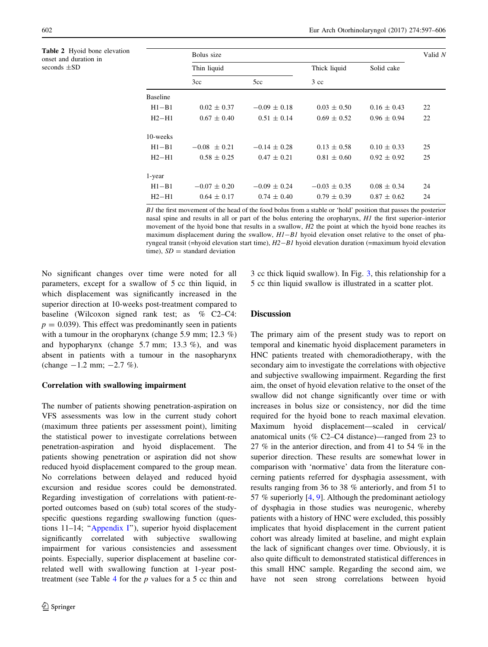<span id="page-6-0"></span>Table 2 Hyoid bone elevation onset and duration in seconds ±SD

|                 | Bolus size       |                  |                  |                 |    |
|-----------------|------------------|------------------|------------------|-----------------|----|
|                 | Thin liquid      |                  | Thick liquid     | Solid cake      |    |
|                 | 3cc              | 5cc              | $3 \text{ cc}$   |                 |    |
| <b>Baseline</b> |                  |                  |                  |                 |    |
| $H1 - B1$       | $0.02 \pm 0.37$  | $-0.09 \pm 0.18$ | $0.03 \pm 0.50$  | $0.16 \pm 0.43$ | 22 |
| $H2-H1$         | $0.67 \pm 0.40$  | $0.51 \pm 0.14$  | $0.69 \pm 0.52$  | $0.96 \pm 0.94$ | 22 |
| 10-weeks        |                  |                  |                  |                 |    |
| $H1 - B1$       | $-0.08 \pm 0.21$ | $-0.14 \pm 0.28$ | $0.13 \pm 0.58$  | $0.10 \pm 0.33$ | 25 |
| $H2-H1$         | $0.58 \pm 0.25$  | $0.47 \pm 0.21$  | $0.81 \pm 0.60$  | $0.92 \pm 0.92$ | 25 |
| 1-year          |                  |                  |                  |                 |    |
| $H1 - B1$       | $-0.07 \pm 0.20$ | $-0.09 \pm 0.24$ | $-0.03 \pm 0.35$ | $0.08 \pm 0.34$ | 24 |
| $H2-H1$         | $0.64 \pm 0.17$  | $0.74 \pm 0.40$  | $0.79 \pm 0.39$  | $0.87 \pm 0.62$ | 24 |

B1 the first movement of the head of the food bolus from a stable or 'hold' position that passes the posterior nasal spine and results in all or part of the bolus entering the oropharynx, H1 the first superior–interior movement of the hyoid bone that results in a swallow, H2 the point at which the hyoid bone reaches its maximum displacement during the swallow,  $H1-B1$  hyoid elevation onset relative to the onset of pharyngeal transit (=hyoid elevation start time),  $H2-BI$  hyoid elevation duration (=maximum hyoid elevation time),  $SD =$  standard deviation

No significant changes over time were noted for all parameters, except for a swallow of 5 cc thin liquid, in which displacement was significantly increased in the superior direction at 10-weeks post-treatment compared to baseline (Wilcoxon signed rank test; as % C2–C4:  $p = 0.039$ . This effect was predominantly seen in patients with a tumour in the oropharynx (change 5.9 mm; 12.3 %) and hypopharynx (change  $5.7$  mm;  $13.3$  %), and was absent in patients with a tumour in the nasopharynx (change  $-1.2$  mm;  $-2.7$  %).

## Correlation with swallowing impairment

The number of patients showing penetration-aspiration on VFS assessments was low in the current study cohort (maximum three patients per assessment point), limiting the statistical power to investigate correlations between penetration-aspiration and hyoid displacement. The patients showing penetration or aspiration did not show reduced hyoid displacement compared to the group mean. No correlations between delayed and reduced hyoid excursion and residue scores could be demonstrated. Regarding investigation of correlations with patient-reported outcomes based on (sub) total scores of the studyspecific questions regarding swallowing function (questions 11–14; '['Appendix I'](#page-9-0)'), superior hyoid displacement significantly correlated with subjective swallowing impairment for various consistencies and assessment points. Especially, superior displacement at baseline correlated well with swallowing function at 1-year post-treatment (see Table [4](#page-7-0) for the  $p$  values for a 5 cc thin and 3 cc thick liquid swallow). In Fig. [3,](#page-8-0) this relationship for a 5 cc thin liquid swallow is illustrated in a scatter plot.

## **Discussion**

The primary aim of the present study was to report on temporal and kinematic hyoid displacement parameters in HNC patients treated with chemoradiotherapy, with the secondary aim to investigate the correlations with objective and subjective swallowing impairment. Regarding the first aim, the onset of hyoid elevation relative to the onset of the swallow did not change significantly over time or with increases in bolus size or consistency, nor did the time required for the hyoid bone to reach maximal elevation. Maximum hyoid displacement—scaled in cervical/ anatomical units (% C2–C4 distance)—ranged from 23 to 27 % in the anterior direction, and from 41 to 54 % in the superior direction. These results are somewhat lower in comparison with 'normative' data from the literature concerning patients referred for dysphagia assessment, with results ranging from 36 to 38 % anteriorly, and from 51 to 57 % superiorly [\[4](#page-10-0), [9](#page-10-0)]. Although the predominant aetiology of dysphagia in those studies was neurogenic, whereby patients with a history of HNC were excluded, this possibly implicates that hyoid displacement in the current patient cohort was already limited at baseline, and might explain the lack of significant changes over time. Obviously, it is also quite difficult to demonstrated statistical differences in this small HNC sample. Regarding the second aim, we have not seen strong correlations between hyoid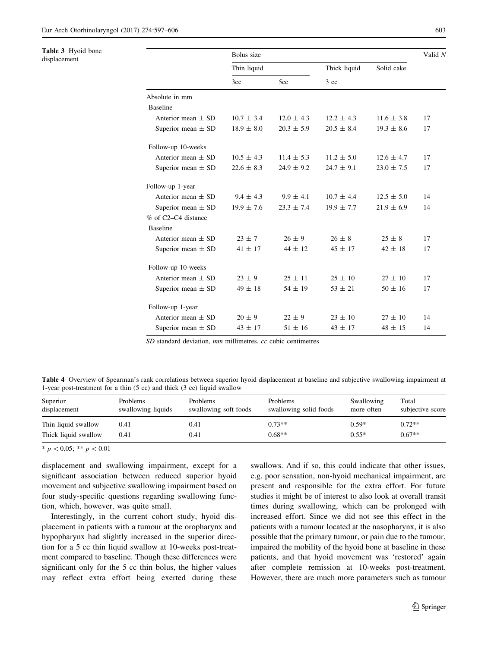Follow-up 1-year

Table 3 Hyoid bone

<span id="page-7-0"></span>

| Table 3 Hyoid bone<br>displacement |                        | Bolus size     |                |                            |                | Valid $N$ |
|------------------------------------|------------------------|----------------|----------------|----------------------------|----------------|-----------|
|                                    |                        | Thin liquid    |                | Solid cake<br>Thick liquid |                |           |
|                                    |                        | 3cc            | 5cc            | $3$ cc                     |                |           |
|                                    | Absolute in mm         |                |                |                            |                |           |
|                                    | <b>Baseline</b>        |                |                |                            |                |           |
|                                    | Anterior mean $\pm$ SD | $10.7 \pm 3.4$ | $12.0 \pm 4.3$ | $12.2 \pm 4.3$             | $11.6 \pm 3.8$ | 17        |
|                                    | Superior mean $\pm$ SD | $18.9 \pm 8.0$ | $20.3 \pm 5.9$ | $20.5 \pm 8.4$             | $19.3 \pm 8.6$ | 17        |
|                                    | Follow-up 10-weeks     |                |                |                            |                |           |
|                                    | Anterior mean $\pm$ SD | $10.5 \pm 4.3$ | $11.4 \pm 5.3$ | $11.2 \pm 5.0$             | $12.6 \pm 4.7$ | 17        |
|                                    | Superior mean $\pm$ SD | $22.6 \pm 8.3$ | $24.9 \pm 9.2$ | $24.7 \pm 9.1$             | $23.0 \pm 7.5$ | 17        |
|                                    | Follow-up 1-year       |                |                |                            |                |           |
|                                    | Anterior mean $\pm$ SD | $9.4 \pm 4.3$  | $9.9 \pm 4.1$  | $10.7 \pm 4.4$             | $12.5 \pm 5.0$ | 14        |
|                                    | Superior mean $\pm$ SD | $19.9 \pm 7.6$ | $23.3 \pm 7.4$ | $19.9 \pm 7.7$             | $21.9 \pm 6.9$ | 14        |
|                                    | % of C2–C4 distance    |                |                |                            |                |           |
|                                    | Baseline               |                |                |                            |                |           |
|                                    | Anterior mean $\pm$ SD | $23 \pm 7$     | $26 \pm 9$     | $26 \pm 8$                 | $25 \pm 8$     | 17        |
|                                    | Superior mean $\pm$ SD | $41 \pm 17$    | $44 \pm 12$    | $45 \pm 17$                | $42 \pm 18$    | 17        |
|                                    | Follow-up 10-weeks     |                |                |                            |                |           |
|                                    | Anterior mean $\pm$ SD | $23 \pm 9$     | $25 \pm 11$    | $25 \pm 10$                | $27 \pm 10$    | 17        |
|                                    | Superior mean $\pm$ SD | $49 \pm 18$    | $54 \pm 19$    | $53 \pm 21$                | $50 \pm 16$    | 17        |

Anterior mean  $\pm$  SD 20  $\pm$  9 22  $\pm$  9 23  $\pm$  10 27  $\pm$  10 14 Superior mean  $\pm$  SD  $43 \pm 17$   $51 \pm 16$   $43 \pm 17$   $48 \pm 15$   $14$ 

SD standard deviation, mm millimetres, cc cubic centimetres

Table 4 Overview of Spearman's rank correlations between superior hyoid displacement at baseline and subjective swallowing impairment at 1-year post-treatment for a thin (5 cc) and thick (3 cc) liquid swallow

| Superior<br>displacement | Problems<br>swallowing liquids | Problems<br>swallowing soft foods | Problems<br>swallowing solid foods | Swallowing<br>more often | Total<br>subjective score |
|--------------------------|--------------------------------|-----------------------------------|------------------------------------|--------------------------|---------------------------|
| Thin liquid swallow      | 0.41                           | 0.41                              | $0.73**$                           | $0.59*$                  | $0.72**$                  |
| Thick liquid swallow     | 0.41                           | 0.41                              | $0.68**$                           | $0.55*$                  | $0.67**$                  |

 $* p < 0.05; ** p < 0.01$ 

displacement and swallowing impairment, except for a significant association between reduced superior hyoid movement and subjective swallowing impairment based on four study-specific questions regarding swallowing function, which, however, was quite small.

Interestingly, in the current cohort study, hyoid displacement in patients with a tumour at the oropharynx and hypopharynx had slightly increased in the superior direction for a 5 cc thin liquid swallow at 10-weeks post-treatment compared to baseline. Though these differences were significant only for the 5 cc thin bolus, the higher values may reflect extra effort being exerted during these

swallows. And if so, this could indicate that other issues, e.g. poor sensation, non-hyoid mechanical impairment, are present and responsible for the extra effort. For future studies it might be of interest to also look at overall transit times during swallowing, which can be prolonged with increased effort. Since we did not see this effect in the patients with a tumour located at the nasopharynx, it is also possible that the primary tumour, or pain due to the tumour, impaired the mobility of the hyoid bone at baseline in these patients, and that hyoid movement was 'restored' again after complete remission at 10-weeks post-treatment. However, there are much more parameters such as tumour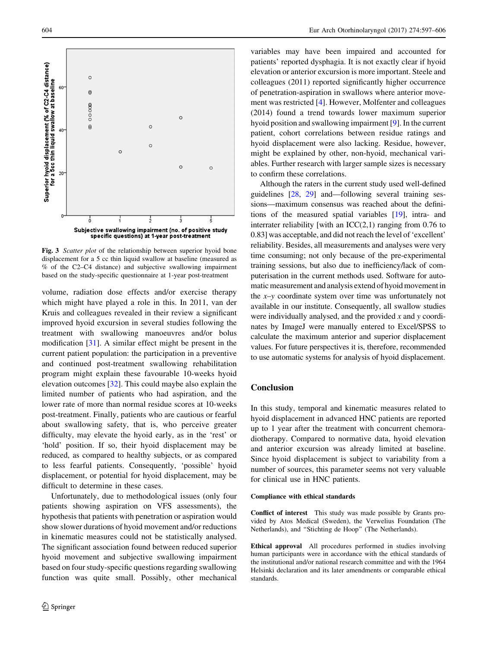<span id="page-8-0"></span>

Fig. 3 Scatter plot of the relationship between superior hyoid bone displacement for a 5 cc thin liquid swallow at baseline (measured as % of the C2–C4 distance) and subjective swallowing impairment based on the study-specific questionnaire at 1-year post-treatment

volume, radiation dose effects and/or exercise therapy which might have played a role in this. In 2011, van der Kruis and colleagues revealed in their review a significant improved hyoid excursion in several studies following the treatment with swallowing manoeuvres and/or bolus modification [\[31](#page-10-0)]. A similar effect might be present in the current patient population: the participation in a preventive and continued post-treatment swallowing rehabilitation program might explain these favourable 10-weeks hyoid elevation outcomes [\[32](#page-10-0)]. This could maybe also explain the limited number of patients who had aspiration, and the lower rate of more than normal residue scores at 10-weeks post-treatment. Finally, patients who are cautious or fearful about swallowing safety, that is, who perceive greater difficulty, may elevate the hyoid early, as in the 'rest' or 'hold' position. If so, their hyoid displacement may be reduced, as compared to healthy subjects, or as compared to less fearful patients. Consequently, 'possible' hyoid displacement, or potential for hyoid displacement, may be difficult to determine in these cases.

Unfortunately, due to methodological issues (only four patients showing aspiration on VFS assessments), the hypothesis that patients with penetration or aspiration would show slower durations of hyoid movement and/or reductions in kinematic measures could not be statistically analysed. The significant association found between reduced superior hyoid movement and subjective swallowing impairment based on four study-specific questions regarding swallowing function was quite small. Possibly, other mechanical

variables may have been impaired and accounted for patients' reported dysphagia. It is not exactly clear if hyoid elevation or anterior excursion is more important. Steele and colleagues (2011) reported significantly higher occurrence of penetration-aspiration in swallows where anterior movement was restricted [[4\]](#page-10-0). However, Molfenter and colleagues (2014) found a trend towards lower maximum superior hyoid position and swallowing impairment [[9](#page-10-0)]. In the current patient, cohort correlations between residue ratings and hyoid displacement were also lacking. Residue, however, might be explained by other, non-hyoid, mechanical variables. Further research with larger sample sizes is necessary to confirm these correlations.

Although the raters in the current study used well-defined guidelines [\[28](#page-10-0), [29\]](#page-10-0) and—following several training sessions—maximum consensus was reached about the definitions of the measured spatial variables [[19\]](#page-10-0), intra- and interrater reliability [with an ICC(2,1) ranging from 0.76 to 0.83] was acceptable, and did not reach the level of 'excellent' reliability. Besides, all measurements and analyses were very time consuming; not only because of the pre-experimental training sessions, but also due to inefficiency/lack of computerisation in the current methods used. Software for automatic measurement and analysis extend of hyoid movement in the  $x-y$  coordinate system over time was unfortunately not available in our institute. Consequently, all swallow studies were individually analysed, and the provided  $x$  and  $y$  coordinates by ImageJ were manually entered to Excel/SPSS to calculate the maximum anterior and superior displacement values. For future perspectives it is, therefore, recommended to use automatic systems for analysis of hyoid displacement.

## Conclusion

In this study, temporal and kinematic measures related to hyoid displacement in advanced HNC patients are reported up to 1 year after the treatment with concurrent chemoradiotherapy. Compared to normative data, hyoid elevation and anterior excursion was already limited at baseline. Since hyoid displacement is subject to variability from a number of sources, this parameter seems not very valuable for clinical use in HNC patients.

#### Compliance with ethical standards

Conflict of interest This study was made possible by Grants provided by Atos Medical (Sweden), the Verwelius Foundation (The Netherlands), and ''Stichting de Hoop'' (The Netherlands).

Ethical approval All procedures performed in studies involving human participants were in accordance with the ethical standards of the institutional and/or national research committee and with the 1964 Helsinki declaration and its later amendments or comparable ethical standards.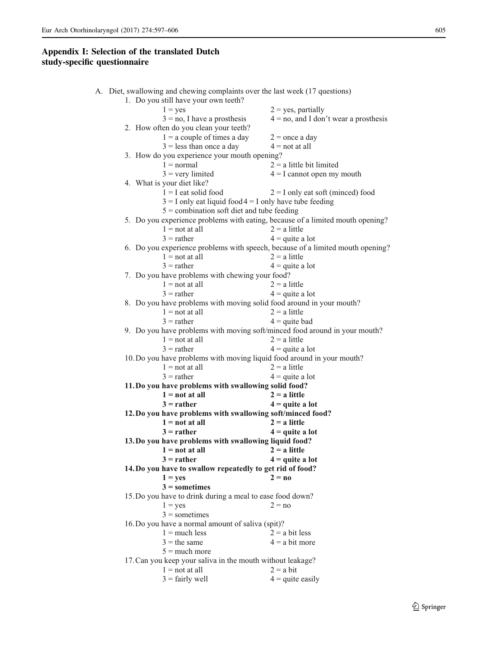## <span id="page-9-0"></span>Appendix I: Selection of the translated Dutch study-specific questionnaire

A. Diet, swallowing and chewing complaints over the last week (17 questions) 1. Do you still have your own teeth?  $1 = yes$  2 = yes, partially  $3 = no$ , I have a prosthesis  $4 = no$ , and I don't wear a prosthesis 2. How often do you clean your teeth?  $1 = a$  couple of times a day  $2 =$  once a day  $3 =$  less than once a day  $4 =$  not at all 3. How do you experience your mouth opening?  $1 = normal$  2 = a little bit limited  $3 = \text{very limited}$   $4 = I \text{ cannot open my mouth}$ 4. What is your diet like?  $1 = I$  eat solid food  $2 = I$  only eat soft (minced) food  $3 = I$  only eat liquid food  $4 = I$  only have tube feeding  $5$  = combination soft diet and tube feeding 5. Do you experience problems with eating, because of a limited mouth opening?  $1 =$ not at all  $2 =$ a little  $3 =$ rather  $4 =$ quite a lot 6. Do you experience problems with speech, because of a limited mouth opening?  $1 = \text{not at all}$   $2 = \text{a little}$  $3 = \text{rather}$   $4 = \text{quite a lot}$ 7. Do you have problems with chewing your food?  $1 =$ not at all  $2 =$ a little  $3 = \text{rather}$   $4 = \text{quite a lot}$ 8. Do you have problems with moving solid food around in your mouth?  $1 =$ not at all  $2 =$ a little  $3 =$ rather  $4 =$ quite bad 9. Do you have problems with moving soft/minced food around in your mouth?  $1 = not at all$   $2 = a$  little  $3 = \text{rather}$   $4 = \text{quite a lot}$ 10.Do you have problems with moving liquid food around in your mouth?  $1 = \text{not at all } 2 = \text{a little}$  $3 = \text{rather}$   $4 = \text{quite a lot}$ **11.Do you have problems with swallowing solid food?**  $1 = not at all$   $2 = a$  little  $3 = \text{rather}$   $4 = \text{quite a lot}$ **12.Do you have problems with swallowing soft/minced food?**  $1 = not at all$   $2 = a$  little  $3 = \text{rather}$   $4 = \text{quite a lot}$ **13.Do you have problems with swallowing liquid food?**  $1 = not at all$   $2 = a$  little  $3 = \text{rather}$   $4 = \text{quite a lot}$ **14.Do you have to swallow repeatedly to get rid of food?**  $1 = \text{ves}$   $2 = \text{no}$ **3 = sometimes** 15.Do you have to drink during a meal to ease food down?  $1 = \text{ves}$   $2 = \text{no}$  $3$  = sometimes 16.Do you have a normal amount of saliva (spit)?  $1 =$  much less  $2 =$  a bit less  $3 =$  the same  $4 =$  a bit more  $5 =$  much more 17.Can you keep your saliva in the mouth without leakage?  $1 =$ not at all  $2 =$ a bit  $3 =$  fairly well  $4 =$  quite easily